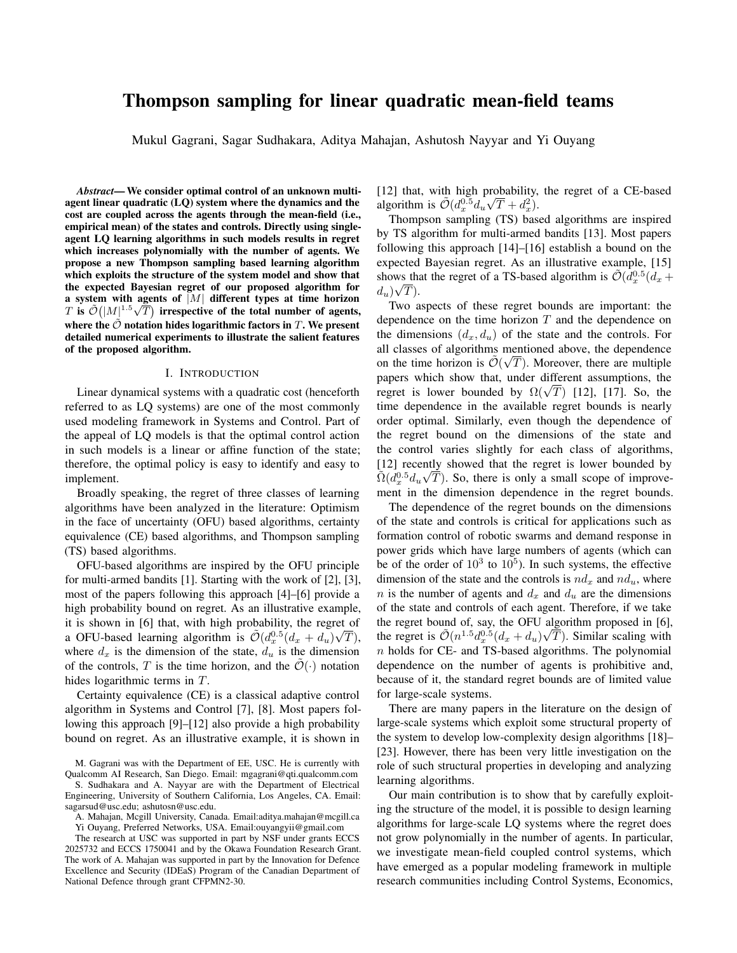# Thompson sampling for linear quadratic mean-field teams

Mukul Gagrani, Sagar Sudhakara, Aditya Mahajan, Ashutosh Nayyar and Yi Ouyang

*Abstract*— We consider optimal control of an unknown multiagent linear quadratic (LQ) system where the dynamics and the cost are coupled across the agents through the mean-field (i.e., empirical mean) of the states and controls. Directly using singleagent LQ learning algorithms in such models results in regret which increases polynomially with the number of agents. We propose a new Thompson sampling based learning algorithm which exploits the structure of the system model and show that the expected Bayesian regret of our proposed algorithm for a system with agents of  $|M|$  different types at time horizon a system with agents or  $|M|$  different types at time norizon <br>T is  $\tilde{\mathcal{O}}(|M|^{1.5}\sqrt{T})$  irrespective of the total number of agents, where the  $\tilde{\mathcal{O}}$  notation hides logarithmic factors in T. We present detailed numerical experiments to illustrate the salient features of the proposed algorithm.

#### I. INTRODUCTION

Linear dynamical systems with a quadratic cost (henceforth referred to as LQ systems) are one of the most commonly used modeling framework in Systems and Control. Part of the appeal of LQ models is that the optimal control action in such models is a linear or affine function of the state; therefore, the optimal policy is easy to identify and easy to implement.

Broadly speaking, the regret of three classes of learning algorithms have been analyzed in the literature: Optimism in the face of uncertainty (OFU) based algorithms, certainty equivalence (CE) based algorithms, and Thompson sampling (TS) based algorithms.

OFU-based algorithms are inspired by the OFU principle for multi-armed bandits [1]. Starting with the work of [2], [3], most of the papers following this approach [4]–[6] provide a high probability bound on regret. As an illustrative example, it is shown in [6] that, with high probability, the regret of a OFU-based learning algorithm is  $\tilde{\mathcal{O}}(d_x^{0.5}(d_x + d_u)\sqrt{T}),$ where  $d_x$  is the dimension of the state,  $d_u$  is the dimension of the controls, T is the time horizon, and the  $\mathcal{O}(\cdot)$  notation hides logarithmic terms in T.

Certainty equivalence (CE) is a classical adaptive control algorithm in Systems and Control [7], [8]. Most papers following this approach [9]–[12] also provide a high probability bound on regret. As an illustrative example, it is shown in

M. Gagrani was with the Department of EE, USC. He is currently with Qualcomm AI Research, San Diego. Email: mgagrani@qti.qualcomm.com

S. Sudhakara and A. Nayyar are with the Department of Electrical Engineering, University of Southern California, Los Angeles, CA. Email: sagarsud@usc.edu; ashutosn@usc.edu.

[12] that, with high probability, the regret of a CE-based algorithm is  $\tilde{\mathcal{O}}(d_x^{0.5}d_u\sqrt{T}+d_x^2)$ .

Thompson sampling (TS) based algorithms are inspired by TS algorithm for multi-armed bandits [13]. Most papers following this approach [14]–[16] establish a bound on the expected Bayesian regret. As an illustrative example, [15] shows that the regret of a TS-based algorithm is  $\tilde{\mathcal{O}}(d_x^{0.5}(d_x +$  $d_u$ ) $\sqrt{T}$ ).

Two aspects of these regret bounds are important: the dependence on the time horizon  $T$  and the dependence on the dimensions  $(d_x, d_u)$  of the state and the controls. For all classes of algorithms mentioned above, the dependence on the time horizon is  $\tilde{\mathcal{O}}(\sqrt{T})$ . Moreover, there are multiple papers which show that, under different assumptions, the papers which show that, under different assumptions, the regret is lower bounded by  $\Omega(\sqrt{T})$  [12], [17]. So, the time dependence in the available regret bounds is nearly order optimal. Similarly, even though the dependence of the regret bound on the dimensions of the state and the control varies slightly for each class of algorithms, [12] recently showed that the regret is lower bounded by  $\tilde{\Omega}(\bar{d}_x^{0.5}d_u\sqrt{T})$ . So, there is only a small scope of improvement in the dimension dependence in the regret bounds.

The dependence of the regret bounds on the dimensions of the state and controls is critical for applications such as formation control of robotic swarms and demand response in power grids which have large numbers of agents (which can be of the order of  $10^3$  to  $10^5$ ). In such systems, the effective dimension of the state and the controls is  $nd_x$  and  $nd_u$ , where n is the number of agents and  $d_x$  and  $d_y$  are the dimensions of the state and controls of each agent. Therefore, if we take the regret bound of, say, the OFU algorithm proposed in [6], the regret is  $\tilde{\mathcal{O}}(n^{1.5}d_x^{0.5}(d_x + d_u)\sqrt{T})$ . Similar scaling with  $n$  holds for CE- and TS-based algorithms. The polynomial dependence on the number of agents is prohibitive and, because of it, the standard regret bounds are of limited value for large-scale systems.

There are many papers in the literature on the design of large-scale systems which exploit some structural property of the system to develop low-complexity design algorithms [18]– [23]. However, there has been very little investigation on the role of such structural properties in developing and analyzing learning algorithms.

Our main contribution is to show that by carefully exploiting the structure of the model, it is possible to design learning algorithms for large-scale LQ systems where the regret does not grow polynomially in the number of agents. In particular, we investigate mean-field coupled control systems, which have emerged as a popular modeling framework in multiple research communities including Control Systems, Economics,

A. Mahajan, Mcgill University, Canada. Email:aditya.mahajan@mcgill.ca Yi Ouyang, Preferred Networks, USA. Email:ouyangyii@gmail.com

The research at USC was supported in part by NSF under grants ECCS 2025732 and ECCS 1750041 and by the Okawa Foundation Research Grant. The work of A. Mahajan was supported in part by the Innovation for Defence Excellence and Security (IDEaS) Program of the Canadian Department of National Defence through grant CFPMN2-30.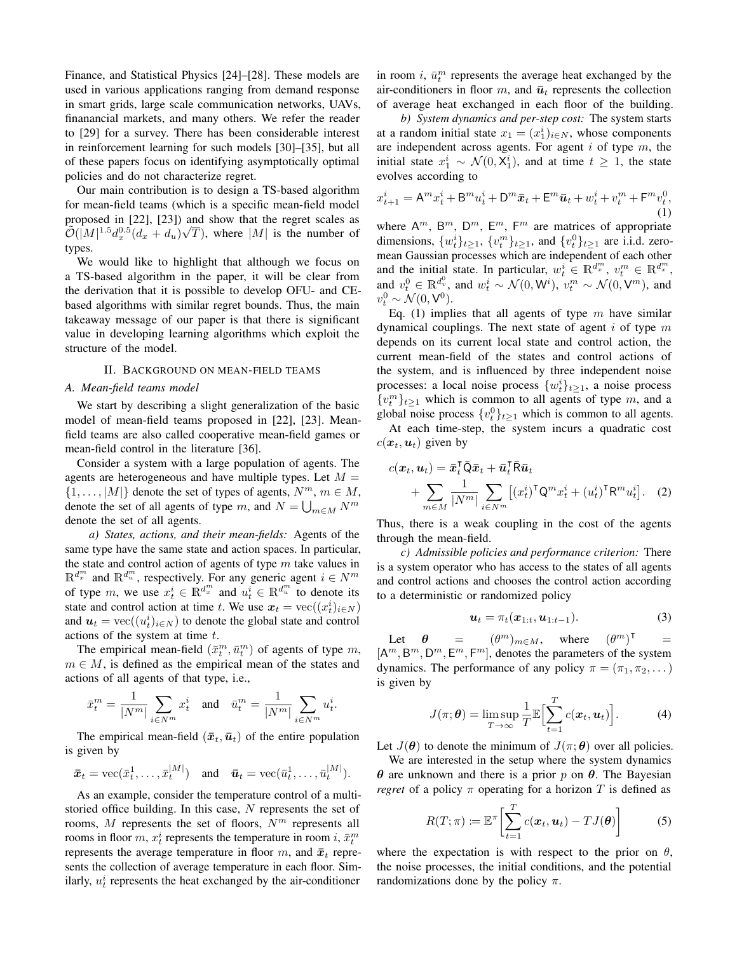Finance, and Statistical Physics [24]–[28]. These models are used in various applications ranging from demand response in smart grids, large scale communication networks, UAVs, finanancial markets, and many others. We refer the reader to [29] for a survey. There has been considerable interest in reinforcement learning for such models [30]–[35], but all of these papers focus on identifying asymptotically optimal policies and do not characterize regret.

Our main contribution is to design a TS-based algorithm for mean-field teams (which is a specific mean-field model proposed in [22], [23]) and show that the regret scales as  $\widetilde{\mathcal{O}}(|M|^{1.5}d_x^{0.5}(d_x+d_u)\sqrt{T}),$  where  $|M|$  is the number of types.

We would like to highlight that although we focus on a TS-based algorithm in the paper, it will be clear from the derivation that it is possible to develop OFU- and CEbased algorithms with similar regret bounds. Thus, the main takeaway message of our paper is that there is significant value in developing learning algorithms which exploit the structure of the model.

## II. BACKGROUND ON MEAN-FIELD TEAMS

#### *A. Mean-field teams model*

We start by describing a slight generalization of the basic model of mean-field teams proposed in [22], [23]. Meanfield teams are also called cooperative mean-field games or mean-field control in the literature [36].

Consider a system with a large population of agents. The agents are heterogeneous and have multiple types. Let  $M =$  $\{1, \ldots, |M|\}$  denote the set of types of agents,  $N^m$ ,  $m \in M$ , denote the set of all agents of type m, and  $N = \bigcup_{m \in M} N^m$ denote the set of all agents.

*a) States, actions, and their mean-fields:* Agents of the same type have the same state and action spaces. In particular, the state and control action of agents of type  $m$  take values in  $\mathbb{R}^{d_x^m}$  and  $\mathbb{R}^{d_u^m}$ , respectively. For any generic agent  $i \in N^m$ of type m, we use  $x_t^i \in \mathbb{R}^{d_x^m}$  and  $u_t^i \in \mathbb{R}^{d_u^m}$  to denote its state and control action at time t. We use  $x_t = \text{vec}((x_t^i)_{i \in N})$ and  $u_t = \text{vec}((u_t^i)_{i \in N})$  to denote the global state and control actions of the system at time t.

The empirical mean-field  $(\bar{x}_t^m, \bar{u}_t^m)$  of agents of type m,  $m \in M$ , is defined as the empirical mean of the states and actions of all agents of that type, i.e.,

$$
\bar{x}_t^m = \frac{1}{|N^m|} \sum_{i \in N^m} x_t^i \quad \text{and} \quad \bar{u}_t^m = \frac{1}{|N^m|} \sum_{i \in N^m} u_t^i.
$$

The empirical mean-field  $(\bar{x}_t, \bar{u}_t)$  of the entire population is given by

$$
\bar{\boldsymbol{x}}_t = \text{vec}(\bar{x}_t^1, \dots, \bar{x}_t^{|M|})
$$
 and  $\bar{\boldsymbol{u}}_t = \text{vec}(\bar{u}_t^1, \dots, \bar{u}_t^{|M|}).$ 

As an example, consider the temperature control of a multistoried office building. In this case, N represents the set of rooms,  $M$  represents the set of floors,  $N<sup>m</sup>$  represents all rooms in floor  $m, x_t^i$  represents the temperature in room  $i, \bar{x}_t^m$ represents the average temperature in floor  $m$ , and  $\bar{x}_t$  represents the collection of average temperature in each floor. Similarly,  $u_t^i$  represents the heat exchanged by the air-conditioner

in room i,  $\bar{u}_t^m$  represents the average heat exchanged by the air-conditioners in floor m, and  $\bar{u}_t$  represents the collection of average heat exchanged in each floor of the building.

*b) System dynamics and per-step cost:* The system starts at a random initial state  $x_1 = (x_1^i)_{i \in N}$ , whose components are independent across agents. For agent  $i$  of type  $m$ , the initial state  $x_1^i \sim \mathcal{N}(0, X_1^i)$ , and at time  $t \geq 1$ , the state evolves according to

$$
x_{t+1}^i = A^m x_t^i + B^m u_t^i + D^m \bar{x}_t + E^m \bar{u}_t + w_t^i + v_t^m + F^m v_t^0,
$$
<sup>(1)</sup>

where  $A^m$ ,  $B^m$ ,  $D^m$ ,  $E^m$ ,  $F^m$  are matrices of appropriate dimensions,  $\{w_t^i\}_{t\geq 1}$ ,  $\{v_t^m\}_{t\geq 1}$ , and  $\{v_t^0\}_{t\geq 1}$  are i.i.d. zeromean Gaussian processes which are independent of each other and the initial state. In particular,  $w_t^i \in \mathbb{R}^{d_x^m}$ ,  $v_t^m \in \mathbb{R}^{d_x^m}$ , and  $v_t^0 \in \mathbb{R}^{d_v^0}$ , and  $w_t^i \sim \mathcal{N}(0, \mathsf{W}^i)$ ,  $v_t^m \sim \mathcal{N}(0, \mathsf{V}^m)$ , and  $v_t^0 \sim \mathcal{N}(0, \mathsf{V}^0).$ 

Eq. (1) implies that all agents of type  $m$  have similar dynamical couplings. The next state of agent  $i$  of type  $m$ depends on its current local state and control action, the current mean-field of the states and control actions of the system, and is influenced by three independent noise processes: a local noise process  $\{w_t^i\}_{t\geq 1}$ , a noise process  $\{v_i^m\}_{i\geq 1}$  which is common to all agents of type m, and a global noise process  $\{v_t^0\}_{t\geq 1}$  which is common to all agents.

At each time-step, the system incurs a quadratic cost  $c(\boldsymbol{x}_t, \boldsymbol{u}_t)$  given by

$$
c(\boldsymbol{x}_t, \boldsymbol{u}_t) = \boldsymbol{\bar{x}}_t^{\mathsf{T}} \boldsymbol{\bar{Q}} \boldsymbol{\bar{x}}_t + \boldsymbol{\bar{u}}_t^{\mathsf{T}} \boldsymbol{\bar{R}} \boldsymbol{\bar{u}}_t + \sum_{m \in M} \frac{1}{|N^m|} \sum_{i \in N^m} \left[ (x_t^i)^{\mathsf{T}} \boldsymbol{Q}^m x_t^i + (u_t^i)^{\mathsf{T}} \boldsymbol{R}^m u_t^i \right].
$$
 (2)

Thus, there is a weak coupling in the cost of the agents through the mean-field.

*c) Admissible policies and performance criterion:* There is a system operator who has access to the states of all agents and control actions and chooses the control action according to a deterministic or randomized policy

$$
\boldsymbol{u}_t = \pi_t(\boldsymbol{x}_{1:t}, \boldsymbol{u}_{1:t-1}). \tag{3}
$$

Let  $\theta = (\theta^m)_{m \in M}$ , where  $(\theta^m)^\intercal =$  $[A^m, B^m, D^m, E^m, F^m]$ , denotes the parameters of the system dynamics. The performance of any policy  $\pi = (\pi_1, \pi_2, \dots)$ is given by

$$
J(\pi; \boldsymbol{\theta}) = \limsup_{T \to \infty} \frac{1}{T} \mathbb{E} \Big[ \sum_{t=1}^{T} c(\boldsymbol{x}_t, \boldsymbol{u}_t) \Big]. \tag{4}
$$

Let  $J(\theta)$  to denote the minimum of  $J(\pi;\theta)$  over all policies.

We are interested in the setup where the system dynamics  $θ$  are unknown and there is a prior p on  $θ$ . The Bayesian *regret* of a policy  $\pi$  operating for a horizon T is defined as

$$
R(T; \pi) := \mathbb{E}^{\pi} \bigg[ \sum_{t=1}^{T} c(\boldsymbol{x}_t, \boldsymbol{u}_t) - TJ(\boldsymbol{\theta}) \bigg] \tag{5}
$$

where the expectation is with respect to the prior on  $\theta$ , the noise processes, the initial conditions, and the potential randomizations done by the policy  $\pi$ .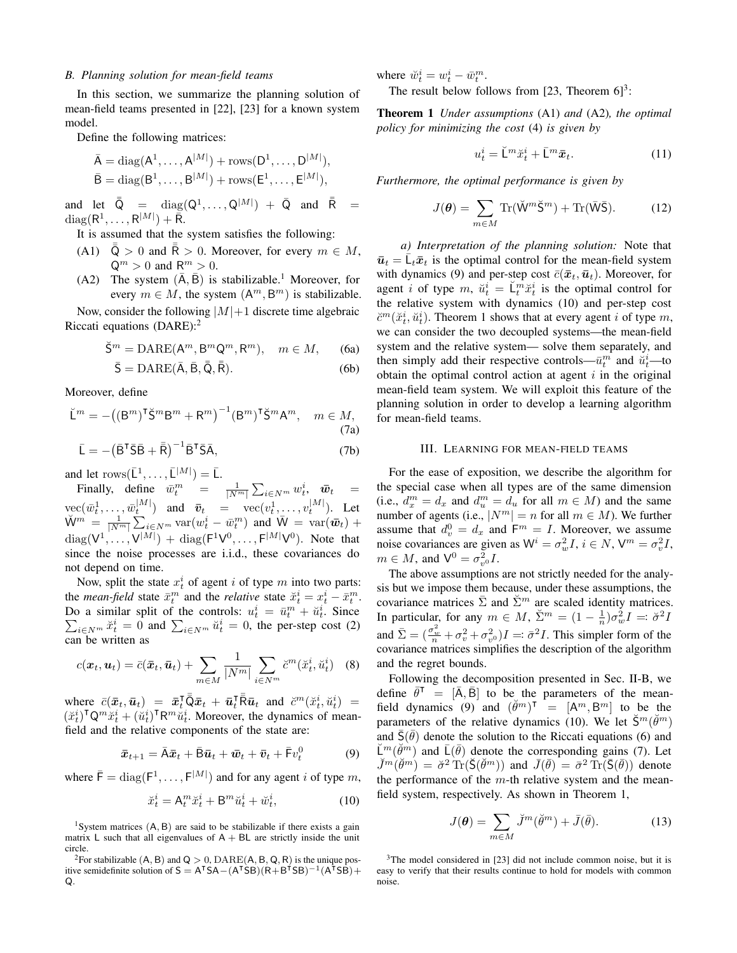#### *B. Planning solution for mean-field teams*

In this section, we summarize the planning solution of mean-field teams presented in [22], [23] for a known system model.

Define the following matrices:

$$
\bar{A} = \text{diag}(A^1, \dots, A^{|M|}) + \text{rows}(D^1, \dots, D^{|M|}),
$$
  

$$
\bar{B} = \text{diag}(B^1, \dots, B^{|M|}) + \text{rows}(E^1, \dots, E^{|M|}),
$$

and let  $\bar{\bar{\mathsf{Q}}}$  =  $\text{diag}(\mathsf{Q}^1, \dots, \mathsf{Q}^{|M|}) + \bar{\mathsf{Q}}$  and  $\bar{\bar{\mathsf{R}}}$  =  $\mathrm{diag}(\mathsf{R}^1,\ldots,\mathsf{R}^{|M|})+\bar{\tilde{\mathsf{R}}}.$ 

It is assumed that the system satisfies the following:

- (A1)  $\bar{\bar{Q}} > 0$  and  $\bar{\bar{R}} > 0$ . Moreover, for every  $m \in M$ ,  $\mathsf{Q}^m > 0$  and  $\mathsf{R}^m > 0$ .
- (A2) The system  $(\overline{A}, \overline{B})$  is stabilizable.<sup>1</sup> Moreover, for every  $m \in M$ , the system  $(A^m, B^m)$  is stabilizable.

Now, consider the following  $|M|+1$  discrete time algebraic Riccati equations  $(DARE)$ :<sup>2</sup>

$$
\breve{S}^m = \text{DARE}(A^m, B^m Q^m, R^m), \quad m \in M, \tag{6a}
$$

$$
\bar{S} = \text{DARE}(\bar{A}, \bar{B}, \bar{\bar{Q}}, \bar{\bar{R}}). \tag{6b}
$$

Moreover, define

$$
\breve{\mathsf{L}}^m = -\big((\mathsf{B}^m)^\mathsf{T}\breve{\mathsf{S}}^m \mathsf{B}^m + \mathsf{R}^m\big)^{-1} (\mathsf{B}^m)^\mathsf{T}\breve{\mathsf{S}}^m \mathsf{A}^m, \quad m \in M,
$$
\n(7a)

$$
\bar{\mathsf{L}} = -(\bar{\mathsf{B}}^{\mathsf{T}} \bar{\mathsf{S}} \bar{\mathsf{B}} + \bar{\bar{\mathsf{R}}})^{-1} \bar{\mathsf{B}}^{\mathsf{T}} \bar{\mathsf{S}} \bar{\mathsf{A}},\tag{7b}
$$

and let  $\text{rows}(\bar{\mathsf{L}}^1, \ldots, \bar{\mathsf{L}}^{|M|}) = \bar{\mathsf{L}}.$ 

Finally, define  $\bar{w}_t^m = \frac{1}{|N^m|} \sum_{i \in N^m} w_t^i$ ,  $\bar{w}_t =$  $\text{vec}(\bar{w}_t^1, \ldots, \bar{w}_t^{|M|})$  and  $\bar{v}_t = \text{vec}(v_t^1, \ldots, v_t^{|M|})$ . Let  $\breve{\mathsf{W}}^m = \frac{1}{|N^m|} \sum_{i \in N^m} \text{var}(w_t^i - \bar{w}_t^m)$  and  $\bar{\mathsf{W}} = \text{var}(\bar{\boldsymbol{w}}_t) +$  $diag(V^1, \ldots, V^{|M|}) + diag(F^1V^0, \ldots, F^{|M|}V^0)$ . Note that since the noise processes are i.i.d., these covariances do not depend on time.

Now, split the state  $x_t^i$  of agent i of type m into two parts: the *mean-field* state  $\bar{x}_t^m$  and the *relative* state  $\breve{x}_t^i = x_t^i - \bar{x}_t^m$ . Do a similar split of the controls:  $u_t^i = \bar{u}_t^m + \check{u}_t^i$ . Since  $\sum_{i \in N^m} \ddot{x}_t^i = 0$  and  $\sum_{i \in N^m} \ddot{u}_t^i = 0$ , the per-step cost (2) can be written as

$$
c(\boldsymbol{x}_t, \boldsymbol{u}_t) = \bar{c}(\bar{\boldsymbol{x}}_t, \bar{\boldsymbol{u}}_t) + \sum_{m \in M} \frac{1}{|N^m|} \sum_{i \in N^m} \breve{c}^m(\breve{x}_t^i, \breve{u}_t^i) \quad (8)
$$

where  $\bar{c}(\bar{x}_t, \bar{u}_t) = \bar{x}_t^{\mathsf{T}} \bar{\bar{\mathsf{Q}}} \bar{x}_t + \bar{u}_t^{\mathsf{T}} \bar{\bar{\mathsf{R}}} \bar{u}_t$  and  $\check{c}^m(\check{x}_t^i, \check{u}_t^i) =$  $(\check{x}_t^i)^\mathsf{T} Q^m \check{x}_t^i + (\check{u}_t^i)^\mathsf{T} R^m \check{u}_t^i$ . Moreover, the dynamics of meanfield and the relative components of the state are:

$$
\bar{x}_{t+1} = \bar{A}\bar{x}_t + \bar{B}\bar{u}_t + \bar{w}_t + \bar{v}_t + \bar{F}v_t^0 \tag{9}
$$

where  $\bar{\mathsf{F}} = \text{diag}(\mathsf{F}^1, \dots, \mathsf{F}^{|M|})$  and for any agent i of type m,

$$
\breve{x}_t^i = \mathsf{A}_t^m \breve{x}_t^i + \mathsf{B}^m \breve{u}_t^i + \breve{w}_t^i,\tag{10}
$$

<sup>1</sup>System matrices  $(A, B)$  are said to be stabilizable if there exists a gain matrix L such that all eigenvalues of  $A + BL$  are strictly inside the unit circle.

<sup>2</sup>For stabilizable (A, B) and  $Q > 0$ , DARE(A, B, Q, R) is the unique positive semidefinite solution of  $S = A^{T}SA-(A^{T}SB)(R+B^{T}SB)^{-1}(A^{T}SB) +$ Q.

where  $\breve{w}_t^i = w_t^i - \bar{w}_t^m$ .

The result below follows from [23, Theorem  $6$ ]<sup>3</sup>:

Theorem 1 *Under assumptions* (A1) *and* (A2)*, the optimal policy for minimizing the cost* (4) *is given by*

$$
u_t^i = \breve{\mathsf{L}}^m \breve{x}_t^i + \bar{\mathsf{L}}^m \bar{x}_t. \tag{11}
$$

*Furthermore, the optimal performance is given by*

$$
J(\boldsymbol{\theta}) = \sum_{m \in M} \text{Tr}(\breve{\mathbf{W}}^m \breve{\mathbf{S}}^m) + \text{Tr}(\bar{\mathbf{W}} \bar{\mathbf{S}}). \tag{12}
$$

*a) Interpretation of the planning solution:* Note that  $\bar{u}_t = \bar{L}_t \bar{x}_t$  is the optimal control for the mean-field system with dynamics (9) and per-step cost  $\bar{c}(\bar{x}_t,\bar{u}_t)$ . Moreover, for agent *i* of type m,  $\breve{u}_t^i = \breve{\mathsf{L}}_t^m \breve{x}_t^i$  is the optimal control for the relative system with dynamics (10) and per-step cost  $\breve{c}^m(\breve{x}_t^i, \breve{u}_t^i)$ . Theorem 1 shows that at every agent i of type m, we can consider the two decoupled systems—the mean-field system and the relative system— solve them separately, and then simply add their respective controls— $\bar{u}_t^m$  and  $\check{u}_t^i$ —to obtain the optimal control action at agent  $i$  in the original mean-field team system. We will exploit this feature of the planning solution in order to develop a learning algorithm for mean-field teams.

#### III. LEARNING FOR MEAN-FIELD TEAMS

For the ease of exposition, we describe the algorithm for the special case when all types are of the same dimension (i.e.,  $d_x^m = d_x$  and  $d_u^m = d_u$  for all  $m \in M$ ) and the same number of agents (i.e.,  $|N^m| = n$  for all  $m \in M$ ). We further assume that  $d_v^0 = d_x$  and  $F^m = I$ . Moreover, we assume noise covariances are given as  $W^i = \sigma_w^2 I$ ,  $i \in N$ ,  $V^m = \sigma_v^2 I$ ,  $m \in M$ , and  $V^0 = \sigma_{v^0}^2 I$ .

The above assumptions are not strictly needed for the analysis but we impose them because, under these assumptions, the covariance matrices  $\bar{\Sigma}$  and  $\tilde{\Sigma}^m$  are scaled identity matrices. In particular, for any  $m \in M$ ,  $\check{\Sigma}^m = (1 - \frac{1}{n})\sigma_w^2 I =: \check{\sigma}^2 I$ and  $\bar{\Sigma} = (\frac{\sigma_w^2}{n} + \sigma_v^2 + \sigma_v^2)I =: \bar{\sigma}^2 I$ . This simpler form of the covariance matrices simplifies the description of the algorithm and the regret bounds.

Following the decomposition presented in Sec. II-B, we define  $\bar{\theta}^T = [\bar{A}, \bar{B}]$  to be the parameters of the meanfield dynamics (9) and  $(\check{\theta}^m)^\mathsf{T} = [\mathsf{A}^m, \mathsf{B}^m]$  to be the parameters of the relative dynamics (10). We let  $\breve{S}^m(\breve{\theta}^m)$ and  $\bar{S}(\bar{\theta})$  denote the solution to the Riccati equations (6) and  $\breve{\mathsf{L}}^m(\breve{\theta}^m)$  and  $\bar{\mathsf{L}}(\bar{\theta})$  denote the corresponding gains (7). Let  $\vec{J}^m(\check{\theta}^m) = \check{\sigma}^2 \operatorname{Tr}(\check{\mathsf{S}}(\check{\theta}^m))$  and  $\bar{J}(\bar{\theta}) = \bar{\sigma}^2 \operatorname{Tr}(\bar{\mathsf{S}}(\bar{\theta}))$  denote the performance of the  $m$ -th relative system and the meanfield system, respectively. As shown in Theorem 1,

$$
J(\boldsymbol{\theta}) = \sum_{m \in M} \breve{J}^m(\breve{\theta}^m) + \bar{J}(\bar{\theta}). \tag{13}
$$

<sup>&</sup>lt;sup>3</sup>The model considered in [23] did not include common noise, but it is easy to verify that their results continue to hold for models with common noise.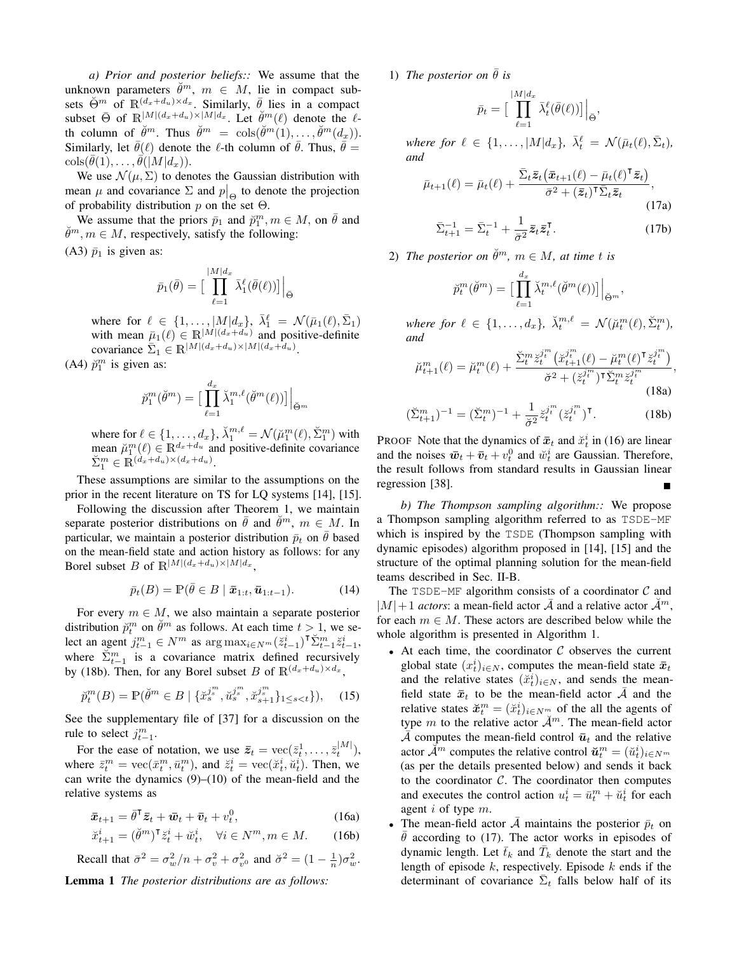*a) Prior and posterior beliefs::* We assume that the unknown parameters  $\check{\theta}^m$ ,  $m \in M$ , lie in compact subsets  $\check{\Theta}^m$  of  $\mathbb{R}^{(d_x+d_u)\times d_x}$ . Similarly,  $\bar{\theta}$  lies in a compact subset  $\bar{\Theta}$  of  $\mathbb{R}^{|M|(d_x+d_u)\times |M|d_x}$ . Let  $\check{\theta}^m(\ell)$  denote the  $\ell$ th column of  $\check{\theta}^m$ . Thus  $\check{\theta}^m = \cosh(\check{\theta}^m(1), \ldots, \check{\theta}^m(d_x)).$ Similarly, let  $\bar{\theta}(\ell)$  denote the  $\ell$ -th column of  $\bar{\theta}$ . Thus,  $\bar{\theta} =$  ${\rm cos}(\bar{\theta}(1),\ldots,\bar{\theta}(\vert M\vert d_x)).$ 

We use  $\mathcal{N}(\mu, \Sigma)$  to denotes the Gaussian distribution with mean  $\mu$  and covariance  $\Sigma$  and  $p|_{\Theta}$  to denote the projection of probability distribution  $p$  on the set  $\Theta$ .

We assume that the priors  $\bar{p}_1$  and  $\breve{p}_1^m$ ,  $m \in M$ , on  $\bar{\theta}$  and  $\check{\theta}^m$ ,  $m \in M$ , respectively, satisfy the following:

(A3)  $\bar{p}_1$  is given as:

$$
\bar{p}_1(\bar{\theta}) = \Big[\prod_{\ell=1}^{|M|d_x} \bar{\lambda}_1^{\ell}(\bar{\theta}(\ell))\Big]\Big|_{\bar{\Theta}}
$$

where for  $\ell \in \{1, \ldots, \lfloor M | d_x\}, \bar{\lambda}_1^{\ell} = \mathcal{N}(\bar{\mu}_1(\ell), \bar{\Sigma}_1)$ with mean  $\bar{\mu}_1(\ell) \in \mathbb{R}^{|M| (d_x + d_u)}$  and positive-definite covariance  $\sum_{1} \in \mathbb{R}^{|M| (d_x + d_u) \times |M| (d_x + d_u)}$ .

(A4)  $\check{p}_1^m$  is given as:

$$
\breve{p}_1^m(\breve{\theta}^m) = \Big[\prod_{\ell=1}^{d_x} \breve{\lambda}_1^{m,\ell}(\breve{\theta}^m(\ell))\Big]\Big|_{\breve{\Theta}^m}
$$

where for  $\ell \in \{1, \ldots, d_x\}, \check{\lambda}_1^{m,\ell} = \mathcal{N}(\check{\mu}_1^m(\ell), \check{\Sigma}_1^m)$  with mean  $\mu_1^m(\ell) \in \mathbb{R}^{d_x+d_u}$  and positive-definite covariance  $\sum_{1}^{m} \in \mathbb{R}^{(d_x+d_u)\times(d_x+d_u)}$ .

These assumptions are similar to the assumptions on the prior in the recent literature on TS for LQ systems [14], [15].

Following the discussion after Theorem 1, we maintain separate posterior distributions on  $\bar{\theta}$  and  $\check{\theta}^m$ ,  $m \in M$ . In particular, we maintain a posterior distribution  $\bar{p}_t$  on  $\bar{\theta}$  based on the mean-field state and action history as follows: for any Borel subset B of  $\mathbb{R}^{|M|(d_x+d_u)\times|M|d_x}$ .

$$
\bar{p}_t(B) = \mathbb{P}(\bar{\theta} \in B \mid \bar{x}_{1:t}, \bar{u}_{1:t-1}). \tag{14}
$$

For every  $m \in M$ , we also maintain a separate posterior distribution  $\tilde{p}_t^m$  on  $\tilde{\theta}^m$  as follows. At each time  $t > 1$ , we select an agent  $j_{t-1}^m \in N^m$  as  $\arg \max_{i \in N^m} (\check{z}_{t-1}^i)^\intercal \check{\Sigma}_{t-1}^m \check{z}_{t-1}^i$ , where  $\sum_{t=1}^{m}$  is a covariance matrix defined recursively by (18b). Then, for any Borel subset B of  $\mathbb{R}^{(d_x+d_u)\times d_x}$ ,

$$
\breve{p}_t^m(B) = \mathbb{P}(\breve{\theta}^m \in B \mid \{\breve{x}_s^{j_s^m}, \breve{u}_s^{j_s^m}, \breve{x}_{s+1}^{j_s^m}\}_{1 \le s < t}\}, \quad (15)
$$

See the supplementary file of [37] for a discussion on the rule to select  $j_{t-1}^m$ .

For the ease of notation, we use  $\bar{z}_t = \text{vec}(\bar{z}_t^1, \dots, \bar{z}_t^{|M|}),$ where  $\bar{z}_t^m = \text{vec}(\bar{x}_t^m, \bar{u}_t^m)$ , and  $\ddot{z}_t^i = \text{vec}(\check{x}_t^i, \check{u}_t^i)$ . Then, we can write the dynamics  $(9)$ – $(10)$  of the mean-field and the relative systems as

$$
\bar{x}_{t+1} = \bar{\theta}^\mathsf{T} \bar{z}_t + \bar{w}_t + \bar{v}_t + v_t^0, \tag{16a}
$$

$$
\label{eq:2.1} \check{x}_{t+1}^i = (\check{\theta}^m)^\mathsf{T} \check{z}_t^i + \check{w}_t^i, \quad \forall i \in N^m, m \in M. \tag{16b}
$$

Recall that  $\bar{\sigma}^2 = \sigma_w^2/n + \sigma_v^2 + \sigma_{v^0}^2$  and  $\check{\sigma}^2 = (1 - \frac{1}{n})\sigma_w^2$ .

Lemma 1 *The posterior distributions are as follows:*

1) *The posterior on*  $\theta$  *is* 

$$
\bar{p}_t = \Big[\prod_{\ell=1}^{|M|d_x} \bar{\lambda}_t^{\ell}(\bar{\theta}(\ell))\Big]\Big|_{\bar{\Theta}},
$$

where for  $\ell \in \{1, \ldots, |M|d_x\}, \ \bar{\lambda}_t^{\ell} = \mathcal{N}(\bar{\mu}_t(\ell), \bar{\Sigma}_t)$ , *and*

$$
\bar{\mu}_{t+1}(\ell) = \bar{\mu}_t(\ell) + \frac{\bar{\Sigma}_t \bar{z}_t (\bar{x}_{t+1}(\ell) - \bar{\mu}_t(\ell)^\mathsf{T} \bar{z}_t)}{\bar{\sigma}^2 + (\bar{z}_t)^\mathsf{T} \bar{\Sigma}_t \bar{z}_t},\tag{17a}
$$

$$
\bar{\Sigma}_{t+1}^{-1} = \bar{\Sigma}_t^{-1} + \frac{1}{\bar{\sigma}^2} \bar{z}_t \bar{z}_t^{\mathsf{T}}.
$$
 (17b)

2) The posterior on  $\check{\theta}^m$ ,  $m \in M$ , at time t is

$$
\tilde{p}_t^m(\check{\theta}^m) = \Big[\prod_{\ell=1}^{d_x} \check{\lambda}_t^{m,\ell}(\check{\theta}^m(\ell))\Big]\Big|_{\check{\Theta}^m},
$$

where for  $\ell \in \{1, \ldots, d_x\}, \ \breve{\lambda}_t^{m,\ell} = \mathcal{N}(\breve{\mu}_t^m(\ell), \breve{\Sigma}_t^m),$ *and*

$$
\breve{\mu}_{t+1}^{m}(\ell) = \breve{\mu}_{t}^{m}(\ell) + \frac{\breve{\Sigma}_{t}^{m} \breve{z}_{t}^{j_{t}^{m}} (\breve{x}_{t+1}^{j_{t}^{m}}(\ell) - \breve{\mu}_{t}^{m}(\ell)^{\mathsf{T}} \breve{z}_{t}^{j_{t}^{m}})}{\breve{\sigma}^{2} + (\breve{z}_{t}^{j_{t}^{m}})^{\mathsf{T}} \breve{\Sigma}_{t}^{m} \breve{z}_{t}^{j_{t}^{m}}}.
$$
\n(18a)

$$
(\check{\Sigma}_{t+1}^m)^{-1} = (\check{\Sigma}_t^m)^{-1} + \frac{1}{\check{\sigma}^2} \check{z}_t^{j^m} (\check{z}_t^{j^m})^\mathsf{T}.
$$
 (18b)

PROOF Note that the dynamics of  $\bar{x}_t$  and  $\ddot{x}_t^i$  in (16) are linear and the noises  $\bar{w}_t + \bar{v}_t + v_t^0$  and  $\check{w}_t^i$  are Gaussian. Therefore, the result follows from standard results in Gaussian linear regression [38].

*b) The Thompson sampling algorithm::* We propose a Thompson sampling algorithm referred to as TSDE-MF which is inspired by the TSDE (Thompson sampling with dynamic episodes) algorithm proposed in [14], [15] and the structure of the optimal planning solution for the mean-field teams described in Sec. II-B.

The TSDE-MF algorithm consists of a coordinator  $\mathcal C$  and  $|M|+1$  *actors*: a mean-field actor A and a relative actor  $\mathcal{A}^m$ , for each  $m \in M$ . These actors are described below while the whole algorithm is presented in Algorithm 1.

- At each time, the coordinator  $C$  observes the current global state  $(x_t^i)_{i \in N}$ , computes the mean-field state  $\bar{x}_t$ and the relative states  $(\check{x}_t^i)_{i \in N}$ , and sends the meanfield state  $\bar{x}_t$  to be the mean-field actor  $\bar{\mathcal{A}}$  and the relative states  $\tilde{x}_t^m = (\tilde{x}_t^i)_{i \in N_m^m}$  of the all the agents of type m to the relative actor  $\mathcal{A}^m$ . The mean-field actor  $\overline{\mathcal{A}}$  computes the mean-field control  $\overline{\mathbf{u}}_t$  and the relative actor  $\check{\mathcal{A}}^m$  computes the relative control  $\check{\bm{u}}_t^m = (\check{u}_t^i)_{i \in N^m}$ (as per the details presented below) and sends it back to the coordinator  $C$ . The coordinator then computes and executes the control action  $u_t^i = \bar{u}_t^m + \breve{u}_t^i$  for each agent i of type m.
- The mean-field actor  $\overline{A}$  maintains the posterior  $\overline{p}_t$  on  $\theta$  according to (17). The actor works in episodes of dynamic length. Let  $\bar{t}_k$  and  $\bar{T}_k$  denote the start and the length of episode  $k$ , respectively. Episode  $k$  ends if the determinant of covariance  $\bar{\Sigma}_t$  falls below half of its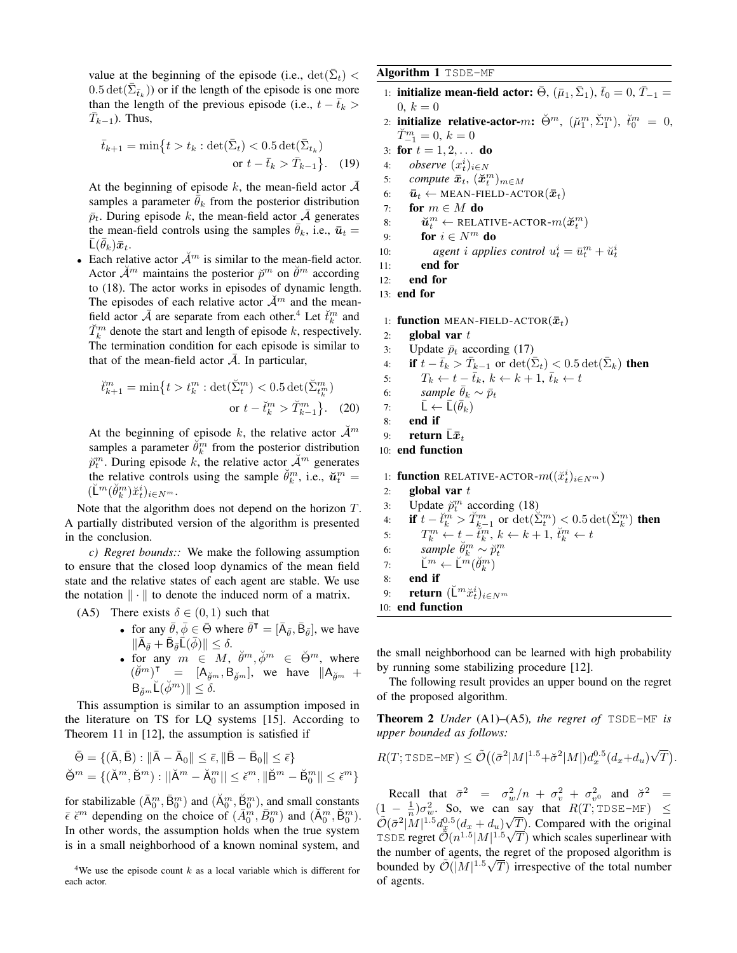value at the beginning of the episode (i.e.,  $\det(\bar{\Sigma}_t)$  <  $0.5 \det(\bar{\Sigma}_{\bar{t}_k})$  or if the length of the episode is one more than the length of the previous episode (i.e.,  $t - \bar{t}_k$ )  $\overline{T}_{k-1}$ ). Thus,

$$
\bar{t}_{k+1} = \min\{t > t_k : \det(\bar{\Sigma}_t) < 0.5 \det(\bar{\Sigma}_{t_k})
$$
  
or  $t - \bar{t}_k > \bar{T}_{k-1}\}.$  (19)

At the beginning of episode k, the mean-field actor  $\overline{\mathcal{A}}$ samples a parameter  $\bar{\theta}_k$  from the posterior distribution  $\bar{p}_t$ . During episode k, the mean-field actor  $\bar{\mathcal{A}}$  generates the mean-field controls using the samples  $\theta_k$ , i.e.,  $\bar{u}_t$  =  $\bar{\mathsf{L}}(\bar{\theta}_k)\bar{\boldsymbol{x}}_t.$ 

• Each relative actor  $\mathcal{A}^m$  is similar to the mean-field actor. Actor  $\mathcal{A}^m$  maintains the posterior  $\mathcal{V}^m$  on  $\mathcal{V}^m$  according to (18). The actor works in episodes of dynamic length. The episodes of each relative actor  $\mathcal{A}^m$  and the meanfield actor  $\bar{\mathcal{A}}$  are separate from each other.<sup>4</sup> Let  $\check{t}_k^m$  and  $\check{T}_k^m$  denote the start and length of episode k, respectively. The termination condition for each episode is similar to that of the mean-field actor  $\overline{A}$ . In particular,

$$
\check{t}_{k+1}^{m} = \min\{t > t_{k}^{m} : \det(\check{\Sigma}_{t}^{m}) < 0.5 \det(\check{\Sigma}_{t_{k}^{m}}^{m})
$$
\n
$$
\text{or } t - \check{t}_{k}^{m} > \check{T}_{k-1}^{m}\}.
$$
\n(20)

At the beginning of episode k, the relative actor  $\mathcal{A}^m$ samples a parameter  $\breve{\theta}_k^m$  from the posterior distribution  $\breve{p}_t^m$ . During episode k, the relative actor  $\breve{\mathcal{A}}^m$  generates the relative controls using the sample  $\check{\theta}_k^m$ , i.e.,  $\check{u}_t^m$  =  $(\breve{\mathsf{L}}^m(\breve{\theta}^m_k)\breve{x}^i_t)_{i\in N^m}$ .

Note that the algorithm does not depend on the horizon T. A partially distributed version of the algorithm is presented in the conclusion.

*c) Regret bounds::* We make the following assumption to ensure that the closed loop dynamics of the mean field state and the relative states of each agent are stable. We use the notation  $\|\cdot\|$  to denote the induced norm of a matrix.

(A5) There exists  $\delta \in (0,1)$  such that

• for any  $\bar{\theta}, \bar{\phi} \in \bar{\Theta}$  where  $\bar{\theta}^{\mathsf{T}} = [\bar{A}_{\bar{\theta}}, \bar{B}_{\bar{\theta}}]$ , we have  $\|\bar{\mathsf{A}}_{\bar{\theta}}+\bar{\mathsf{B}}_{\bar{\theta}}\bar{\mathsf{L}}(\bar{\phi})\| \leq \delta.$ • for any  $m \in M$ ,  $\check{\theta}^m$ ,  $\check{\phi}^m \in \check{\Theta}^m$ , where  $(\check{\theta}^m)$ <sup>T</sup> = [A<sub> $\check{\theta}^m$ </sub>, B $\check{\theta}^m$ ], we have  $\|\mathsf{A}_{\check{\theta}^m}$  +  $\mathsf{B}_{\breve{\theta}^m}\check{\mathsf{L}}(\breve{\phi}^m)\| < \delta.$ 

This assumption is similar to an assumption imposed in the literature on TS for LQ systems [15]. According to Theorem 11 in [12], the assumption is satisfied if

$$
\bar{\Theta} = \{ (\bar{A}, \bar{B}) : ||\bar{A} - \bar{A}_0|| \le \bar{\epsilon}, ||\bar{B} - \bar{B}_0|| \le \bar{\epsilon} \}
$$

$$
\check{\Theta}^m = \{ (\check{A}^m, \check{B}^m) : ||\check{A}^m - \check{A}_0^m|| \le \check{\epsilon}^m, ||\check{B}^m - \check{B}_0^m|| \le \check{\epsilon}^m \}
$$

for stabilizable  $(\bar{A}_0^m, \bar{B}_0^m)$  and  $(\breve{A}_0^m, \breve{B}_0^m)$ , and small constants  $\bar{\epsilon} \; \breve{\epsilon}^m$  depending on the choice of  $(\bar{A}_0^m, \bar{B}_0^m)$  and  $(\breve{A}_0^m, \breve{B}_0^m)$ . In other words, the assumption holds when the true system is in a small neighborhood of a known nominal system, and

Algorithm 1 TSDE-MF

- 1: **initialize mean-field actor:**  $\bar{\Theta}$ ,  $(\bar{\mu}_1, \bar{\Sigma}_1)$ ,  $\bar{t}_0 = 0$ ,  $\bar{T}_{-1} =$  $0, k = 0$
- 2: **initialize relative-actor-**m:  $\breve{\Theta}^m$ ,  $(\breve{\mu}_1^m, \breve{\Sigma}_1^m)$ ,  $\breve{t}_0^m = 0$ ,  $\check{T}_{-1}^m = 0, k = 0$
- 3: for  $t = 1, 2, ...$  do
- 4: *observe*  $(x_t^i)_{i \in N}$
- 5: *compute*  $\bar{x}_t$ ,  $(\breve{x}_t^m)_{m \in M}$
- 6:  $\bar{u}_t \leftarrow \text{MEAN-FileLD-ACTOR}(\bar{x}_t)$
- 7: for  $m \in M$  do

8: 
$$
\mathbf{\check{u}}_t^m \leftarrow \text{RELATIVE-ACTOR-}m(\mathbf{\check{x}}_t^m)
$$

```
9: for i \in N^m do
```

```
10: agent i applies control u_t^i = \bar{u}_t^m + \breve{u}_t^i
```

```
11: end for
```
12: end for

13: end for

1: function MEAN-FIELD-ACTOR $(\bar{x}_t)$ 

- 2: global var  $t$
- 3: Update  $\bar{p}_t$  according (17)

4: if 
$$
t - \bar{t}_k > \bar{T}_{k-1}
$$
 or  $\det(\bar{\Sigma}_t) < 0.5 \det(\bar{\Sigma}_k)$  then

5:  $T_k \leftarrow t - \bar{t}_k, \, k \leftarrow k + 1, \, \bar{t}_k \leftarrow t$ 

6: *sample*  $\bar{\theta}_k \sim \bar{p}_t$ 

7: 
$$
\bar{\mathsf{L}} \leftarrow \bar{\mathsf{L}}(\bar{\theta}_k)
$$

8: end if

```
9: return \bar{\mathbb{L}}\bar{x}_t
```
10: end function

1: function RELATIVE-ACTOR- $m((\breve{x}_t^i)_{i\in N^m})$ 

2: global var  $t$ 3: Update  $\breve{p}_t^m$  according (18) 4: if  $t - \breve{t}_k^m > \breve{T}_{k-1}^m$  or  $\det(\breve{\Sigma}_t^m) < 0.5 \det(\breve{\Sigma}_k^m)$  then 5:  $T_k^m \leftarrow t - \breve{t}_k^m, k \leftarrow k + 1, \breve{t}_k^m \leftarrow t$ 

6:  $\sum_{k=1}^{\infty} \sum_{k=1}^{m} \sum_{k=1}^{m} p_{t}^{m}$ 

- 7:  $\check{\mathsf{L}}^m \leftarrow \check{\mathsf{L}}^m(\check{\theta}_k^m)$
- 8: end if
- 9: **return**  $(\breve{\mathsf{L}}^m \breve{x}_t^i)_{i \in N^m}$
- 10: end function

the small neighborhood can be learned with high probability by running some stabilizing procedure [12].

The following result provides an upper bound on the regret of the proposed algorithm.

Theorem 2 *Under* (A1)–(A5)*, the regret of* TSDE-MF *is upper bounded as follows:*

$$
R(T; \texttt{SDE-MF}) \le \tilde{\mathcal{O}}\left( (\bar{\sigma}^2 |M|^{1.5} + \breve{\sigma}^2 |M|) d_x^{0.5} (d_x + d_u) \sqrt{T} \right).
$$

Recall that  $\bar{\sigma}^2 = \sigma_w^2/n + \sigma_v^2 + \sigma_v^2$  and  $\check{\sigma}^2 =$  $(1 - \frac{1}{n})\sigma_w^2$ . So, we can say that  $R(T, T\text{DSE-MF}) \leq$  $\widetilde{\mathcal{O}}(\bar{\sigma}^2|M|^{1.5}d_x^{0.5}(d_x+d_u)\sqrt{T})$ . Compared with the original TSDE regret  $\tilde{\mathcal{O}}(n^{1.5}|M|^{1.5}\sqrt{T})$  which scales superlinear with the number of agents, the regret of the proposed algorithm is bounded by  $\mathcal{O}(|M|^{1.5}\sqrt{T})$  irrespective of the total number of agents.

<sup>&</sup>lt;sup>4</sup>We use the episode count  $k$  as a local variable which is different for each actor.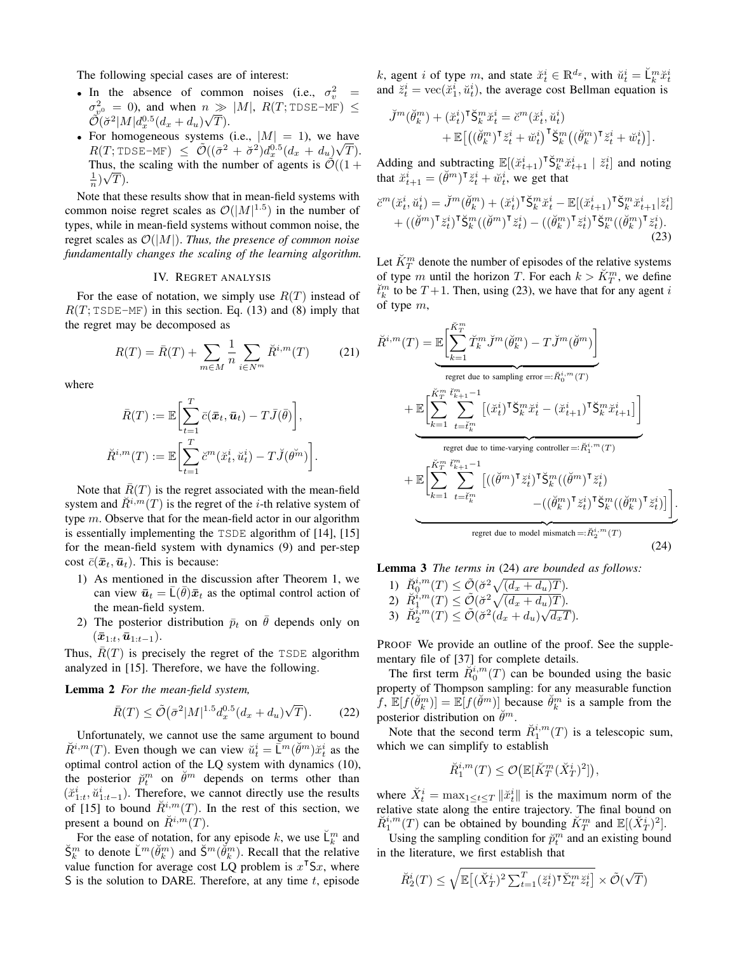The following special cases are of interest:

- In the absence of common noises (i.e.,  $\sigma_v^2$  =  $\sigma_{\tilde{g}^0}^2 = 0$ , and when  $n \gg |M|$ ,  $R(T; \text{TDSE-MF}) \leq$  $\tilde{\mathcal{O}}(\breve{\sigma}^2 |M| d_x^{0.5} (d_x + d_u)\sqrt{T}).$
- For homogeneous systems (i.e.,  $|M| = 1$ ), we have  $R(T; \texttt{IDSE-MF}) \ \leq \ \tilde{\mathcal{O}}((\bar{\sigma}^2 + \breve{\sigma}^2)d_x^{0.5}(d_x + d_u)\sqrt{T}).$ Thus, the scaling with the number of agents is  $\mathcal{O}((1 +$  $\frac{1}{n}$  $\sqrt{T}$ ).

Note that these results show that in mean-field systems with common noise regret scales as  $\mathcal{O}(|M|^{1.5})$  in the number of types, while in mean-field systems without common noise, the regret scales as O(|M|). *Thus, the presence of common noise fundamentally changes the scaling of the learning algorithm.*

## IV. REGRET ANALYSIS

For the ease of notation, we simply use  $R(T)$  instead of  $R(T; \text{TSDE-MF})$  in this section. Eq. (13) and (8) imply that the regret may be decomposed as

$$
R(T) = \bar{R}(T) + \sum_{m \in M} \frac{1}{n} \sum_{i \in N^m} \breve{R}^{i,m}(T)
$$
 (21)

where

$$
\bar{R}(T) := \mathbb{E}\left[\sum_{t=1}^T \bar{c}(\bar{x}_t, \bar{u}_t) - T\bar{J}(\bar{\theta})\right],
$$
  

$$
\breve{R}^{i,m}(T) := \mathbb{E}\left[\sum_{t=1}^T \breve{c}^m(\breve{x}_t^i, \breve{u}_t^i) - T\breve{J}(\theta^m)\right].
$$

Note that  $\overline{R}(T)$  is the regret associated with the mean-field system and  $\tilde{R}^{i,m}(T)$  is the regret of the *i*-th relative system of type m. Observe that for the mean-field actor in our algorithm is essentially implementing the TSDE algorithm of [14], [15] for the mean-field system with dynamics (9) and per-step cost  $\bar{c}(\bar{x}_t,\bar{u}_t)$ . This is because:

- 1) As mentioned in the discussion after Theorem 1, we can view  $\bar{u}_t = \bar{L}(\bar{\theta})\bar{x}_t$  as the optimal control action of the mean-field system.
- 2) The posterior distribution  $\bar{p}_t$  on  $\bar{\theta}$  depends only on  $(\bar{x}_{1:t},\bar{u}_{1:t-1}).$

Thus,  $\overline{R}(T)$  is precisely the regret of the TSDE algorithm analyzed in [15]. Therefore, we have the following.

## Lemma 2 *For the mean-field system,*

$$
\bar{R}(T) \le \tilde{\mathcal{O}}\big(\bar{\sigma}^2 |M|^{1.5} d_x^{0.5} (d_x + d_u)\sqrt{T}\big). \tag{22}
$$

Unfortunately, we cannot use the same argument to bound  $\check{R}^{i,m}(T)$ . Even though we can view  $\check{u}_t^i = \check{\bar{\mathsf{L}}}^m(\check{\theta}^m)\check{x}_t^i$  as the optimal control action of the LQ system with dynamics (10), the posterior  $\breve{p}_t^m$  on  $\breve{\theta}^m$  depends on terms other than  $(\check{x}_{1:t}^i, \check{u}_{1:t-1}^i)$ . Therefore, we cannot directly use the results of [15] to bound  $\tilde{R}^{i,m}(T)$ . In the rest of this section, we present a bound on  $\check{R}^{i,m}(T)$ .

For the ease of notation, for any episode k, we use  $\mathbb{L}_k^m$  and  $\breve{S}_k^m$  to denote  $\breve{\mathsf{L}}^m(\breve{\theta}_k^m)$  and  $\breve{S}^m(\breve{\theta}_k^m)$ . Recall that the relative value function for average cost LQ problem is  $x^T S x$ , where S is the solution to DARE. Therefore, at any time  $t$ , episode k, agent i of type m, and state  $\breve{x}_t^i \in \mathbb{R}^{d_x}$ , with  $\breve{u}_t^i = \breve{\mathsf{L}}_k^m \breve{x}_t^i$ and  $\ddot{z}_t^i = \text{vec}(\ddot{x}_1^i, \ddot{u}_t^i)$ , the average cost Bellman equation is

$$
\begin{aligned} \breve{J}^m(\breve{\theta}^m_k) + (\breve{x}^i_t)^\mathsf{T} \breve{\mathsf{S}}^m_k \breve{x}^i_t &= \breve{c}^m(\breve{x}^i_t, \breve{u}^i_t) \\ &+ \mathbb{E}\big[\big((\breve{\theta}^m_k)^\mathsf{T} \breve{z}^i_t + \breve{w}^i_t\big)^\mathsf{T} \breve{\mathsf{S}}^m_k\big((\breve{\theta}^m_k)^\mathsf{T} \breve{z}^i_t + \breve{w}^i_t\big)\big]. \end{aligned}
$$

Adding and subtracting  $\mathbb{E}[(\check{x}_{t+1}^i)^\mathsf{T} \check{S}_k^m \check{x}_{t+1}^i \mid \check{z}_t^i]$  and noting that  $\check{x}_{t+1}^i = (\check{\theta}^m)^\intercal \check{z}_t^i + \check{w}_t^i$ , we get that

$$
\check{c}^m(\check{x}_t^i, \check{u}_t^i) = \check{J}^m(\check{\theta}_k^m) + (\check{x}_t^i)^\mathsf{T} \check{\mathsf{S}}_k^m \check{x}_t^i - \mathbb{E}[(\check{x}_{t+1}^i)^\mathsf{T} \check{\mathsf{S}}_k^m \check{x}_{t+1}^i | \check{z}_t^i] + ((\check{\theta}^m)^\mathsf{T} \check{z}_t^i)^\mathsf{T} \check{\mathsf{S}}_k^m((\check{\theta}_k^m)^\mathsf{T} \check{z}_t^i) - ((\check{\theta}_k^m)^\mathsf{T} \check{z}_t^i)^\mathsf{T} \check{\mathsf{S}}_k^m((\check{\theta}_k^m)^\mathsf{T} \check{z}_t^i).
$$
\n(23)

Let  $\breve{K}_T^m$  denote the number of episodes of the relative systems of type m until the horizon T. For each  $k > \breve{K}_T^m$ , we define  $\check{t}_k^m$  to be  $T+1$ . Then, using (23), we have that for any agent i of type  $m$ ,

$$
\check{R}^{i,m}(T) = \mathbb{E}\left[\sum_{k=1}^{\check{K}_{T}^{m}} \check{T}_{k}^{m} \check{J}^{m}(\check{\theta}_{k}^{m}) - T \check{J}^{m}(\check{\theta}^{m})\right]
$$
\nregret due to sampling error =:  $\check{R}_{0}^{i,m}(T)$   
\n
$$
+ \mathbb{E}\left[\sum_{k=1}^{\check{K}_{T}^{m}} \sum_{t=\check{t}_{k}^{m}}^{i_{m}} \left[ (\check{x}_{t}^{i})^{\mathsf{T}} \check{S}_{k}^{m} \check{x}_{t}^{i} - (\check{x}_{t+1}^{i})^{\mathsf{T}} \check{S}_{k}^{m} \check{x}_{t+1}^{i} \right] \right]
$$
\nregret due to time-varying controller =:  $\check{R}_{1}^{i,m}(T)$   
\n
$$
+ \mathbb{E}\left[\sum_{k=1}^{\check{K}_{T}^{m}} \sum_{t=\check{t}_{k}^{m}}^{i_{m}} \left[ ((\check{\theta}^{m})^{\mathsf{T}} \check{z}_{t}^{i})^{\mathsf{T}} \check{S}_{k}^{m} ((\check{\theta}^{m})^{\mathsf{T}} \check{z}_{t}^{i}) \right] - ((\check{\theta}_{k}^{m})^{\mathsf{T}} \check{z}_{t}^{i})^{\mathsf{T}} \check{S}_{k}^{m} ((\check{\theta}_{k}^{m})^{\mathsf{T}} \check{z}_{t}^{i}) \right].
$$
\nregret due to model mismatch =:  $\check{R}_{2}^{i,m}(T)$  (24)

Lemma 3 *The terms in* (24) *are bounded as follows:*

1)  $\check{R}_0^{i,m}(T) \leq \tilde{\mathcal{O}}(\check{\sigma}^2 \sqrt{(d_x + d_u)T}).$ 2)  $\check{R}_1^{i,m}(T) \leq \tilde{\mathcal{O}}(\check{\sigma}^2 \sqrt{(d_x + d_u)T}).$ 2)  $R_1^{i} (I) \leq \mathcal{O}(\partial \sqrt{a_x + a_u}/I)$ .<br>
3)  $R_2^{i,m}(T) \leq \tilde{\mathcal{O}}(\tilde{\sigma}^2(d_x + d_u)\sqrt{d_x}/I).$ 

PROOF We provide an outline of the proof. See the supplementary file of [37] for complete details.

The first term  $\check{R}_0^{i,m}(T)$  can be bounded using the basic property of Thompson sampling: for any measurable function  $\hat{f}$ ,  $\mathbb{E}[f(\check{\theta}_k^m)] = \mathbb{E}[f(\check{\theta}^m)]$  because  $\check{\theta}_k^m$  is a sample from the posterior distribution on  $\check{\theta}^m$ .

Note that the second term  $\check{R}_1^{i,m}(T)$  is a telescopic sum, which we can simplify to establish

$$
\check{R}_1^{i,m}(T) \leq \mathcal{O}\big(\mathbb{E}[\check{K}_T^m(\check{X}_T^i)^2]\big),
$$

where  $\check{X}_t^i = \max_{1 \le t \le T} ||\check{x}_t^i||$  is the maximum norm of the relative state along the entire trajectory. The final bound on  $\check{R}_1^{i,m}(T)$  can be obtained by bounding  $\check{K}_T^m$  and  $\mathbb{E}[(\check{X}_T^i)^2]$ .

Using the sampling condition for  $\tilde{p}_t^m$  and an existing bound in the literature, we first establish that

$$
\check{R}_{2}^{i}(T) \leq \sqrt{\mathbb{E}\left[ (\check{X}_{T}^{i})^{2} \sum_{t=1}^{T} (\check{z}_{t}^{i})^{\intercal} \check{\Sigma}_{t}^{m} \check{z}_{t}^{i}\right]} \times \tilde{\mathcal{O}}(\sqrt{T})
$$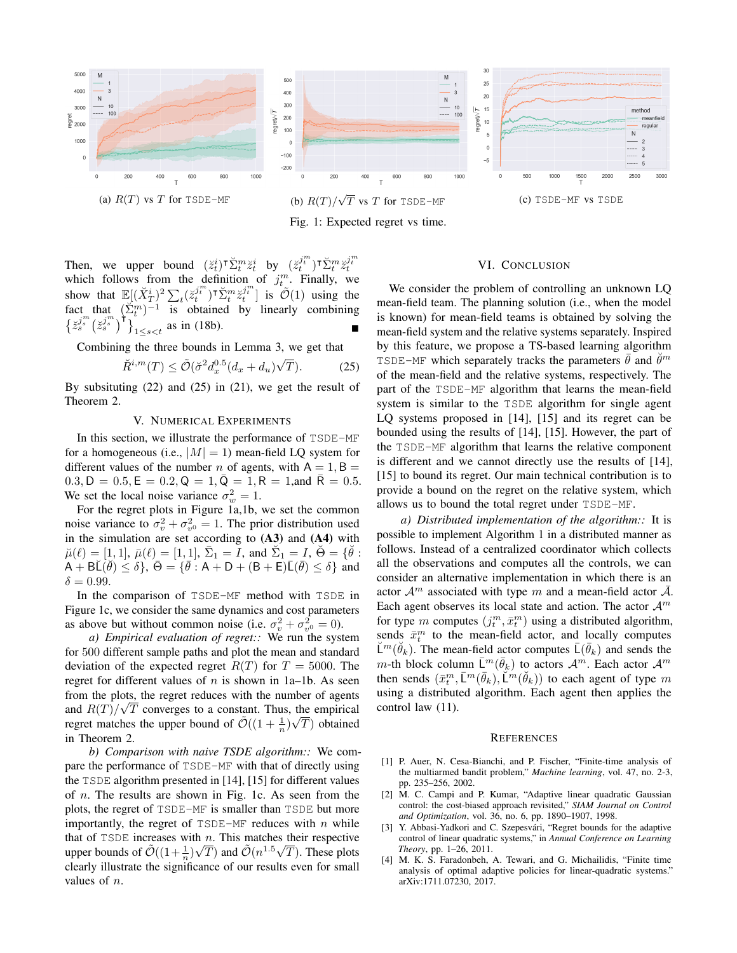

Then, we upper bound  $(\check{z}_t^i)^\intercal \check{\Sigma}_t^m \check{z}_t^i$  by  $(\check{z}_t^{j_m^n})^\intercal \check{\Sigma}_t^m \check{z}_t^{j_m^n}$ which follows from the definition of  $j_t^m$ . Finally, we show that  $\mathbb{E}[(\breve{X}_T^i)^2 \sum_t (\breve{z}_t^{j_t^m})^{\intercal} \breve{\Sigma}_t^m \breve{z}_t^{j_t^m}]$  is  $\tilde{O}(1)$  using the fact that  $(\Sigma_t^m)^{-1}$  is obtained by linearly combining  $\left\{ \frac{z_j^{j_m}}{z_s^{j_m}} \left( \frac{z_j^{j_m}}{z_s^{j_m}} \right)^T \right\}_{1 \leq s < t}$  as in (18b).

Combining the three bounds in Lemma 3, we get that

$$
\check{R}^{i,m}(T) \le \tilde{\mathcal{O}}(\check{\sigma}^2 d_x^{0.5} (d_x + d_u)\sqrt{T}). \tag{25}
$$

By subsituting (22) and (25) in (21), we get the result of Theorem 2.

## V. NUMERICAL EXPERIMENTS

In this section, we illustrate the performance of TSDE-MF for a homogeneous (i.e.,  $|M| = 1$ ) mean-field LQ system for different values of the number n of agents, with  $A = 1, B =$  $0.3, D = 0.5, E = 0.2, Q = 1, \overline{Q} = 1, R = 1, \text{and } \overline{R} = 0.5.$ We set the local noise variance  $\sigma_w^2 = 1$ .

For the regret plots in Figure 1a,1b, we set the common noise variance to  $\sigma_v^2 + \sigma_{v^0}^2 = 1$ . The prior distribution used in the simulation are set according to  $(A3)$  and  $(A4)$  with  $\breve{\mu}(\ell) = [1, 1], \ \bar{\mu}(\ell) = [1, 1], \ \bar{\Sigma}_1 = I, \text{ and } \ \breve{\Sigma}_1 = I, \ \breve{\Theta} = \{ \breve{\theta} \}$  $\overline{A + BL(\theta)} \le \delta$ ,  $\overline{\Theta} = {\overline{\theta} : A + D + (B + E)\overline{L}(\overline{\theta}) \le \delta}$  and  $\delta = 0.99$ .

In the comparison of TSDE-MF method with TSDE in Figure 1c, we consider the same dynamics and cost parameters as above but without common noise (i.e.  $\sigma_v^2 + \sigma_{v^0}^2 = 0$ ).

*a) Empirical evaluation of regret::* We run the system for 500 different sample paths and plot the mean and standard deviation of the expected regret  $R(T)$  for  $T = 5000$ . The regret for different values of  $n$  is shown in 1a–1b. As seen from the plots, the regret reduces with the number of agents and  $R(T)/\sqrt{T}$  converges to a constant. Thus, the empirical regret matches the upper bound of  $\tilde{\mathcal{O}}((1 + \frac{1}{n})\sqrt{T})$  obtained in Theorem 2.

*b) Comparison with naive TSDE algorithm::* We compare the performance of TSDE-MF with that of directly using the TSDE algorithm presented in [14], [15] for different values of n. The results are shown in Fig. 1c. As seen from the plots, the regret of TSDE-MF is smaller than TSDE but more importantly, the regret of  $TSDE-MF$  reduces with n while that of TSDE increases with *n*. This matches their respective upper bounds of  $\tilde{\mathcal{O}}((1+\frac{1}{n})\sqrt{T})$  and  $\tilde{\mathcal{O}}(n^{1.5}\sqrt{T})$ . These plots clearly illustrate the significance of our results even for small values of n.

## VI. CONCLUSION

We consider the problem of controlling an unknown LQ mean-field team. The planning solution (i.e., when the model is known) for mean-field teams is obtained by solving the mean-field system and the relative systems separately. Inspired by this feature, we propose a TS-based learning algorithm TSDE-MF which separately tracks the parameters  $\vec{\theta}$  and  $\vec{\theta}^m$ of the mean-field and the relative systems, respectively. The part of the TSDE-MF algorithm that learns the mean-field system is similar to the TSDE algorithm for single agent LQ systems proposed in [14], [15] and its regret can be bounded using the results of [14], [15]. However, the part of the TSDE-MF algorithm that learns the relative component is different and we cannot directly use the results of [14], [15] to bound its regret. Our main technical contribution is to provide a bound on the regret on the relative system, which allows us to bound the total regret under TSDE-MF.

*a) Distributed implementation of the algorithm::* It is possible to implement Algorithm 1 in a distributed manner as follows. Instead of a centralized coordinator which collects all the observations and computes all the controls, we can consider an alternative implementation in which there is an actor  $\mathcal{A}^m$  associated with type m and a mean-field actor  $\overline{\mathcal{A}}$ . Each agent observes its local state and action. The actor  $A^m$ for type m computes  $(j_t^m, \bar{x}_t^m)$  using a distributed algorithm, sends  $\bar{x}_t^m$  to the mean-field actor, and locally computes  $\breve{\mathsf{L}}^m(\breve{\theta}_k)$ . The mean-field actor computes  $\bar{\mathsf{L}}(\bar{\theta}_k)$  and sends the m-th block column  $\bar{\mathsf{L}}^m(\bar{\theta}_k)$  to actors  $\mathcal{A}^m$ . Each actor  $\mathcal{A}^m$ then sends  $(\bar{x}_t^m, \bar{L}^m(\bar{\theta}_k), \breve{L}^m(\breve{\theta}_k))$  to each agent of type m using a distributed algorithm. Each agent then applies the control law (11).

#### **REFERENCES**

- [1] P. Auer, N. Cesa-Bianchi, and P. Fischer, "Finite-time analysis of the multiarmed bandit problem," *Machine learning*, vol. 47, no. 2-3, pp. 235–256, 2002.
- [2] M. C. Campi and P. Kumar, "Adaptive linear quadratic Gaussian control: the cost-biased approach revisited," *SIAM Journal on Control and Optimization*, vol. 36, no. 6, pp. 1890–1907, 1998.
- [3] Y. Abbasi-Yadkori and C. Szepesvári, "Regret bounds for the adaptive control of linear quadratic systems," in *Annual Conference on Learning Theory*, pp. 1–26, 2011.
- [4] M. K. S. Faradonbeh, A. Tewari, and G. Michailidis, "Finite time analysis of optimal adaptive policies for linear-quadratic systems." arXiv:1711.07230, 2017.